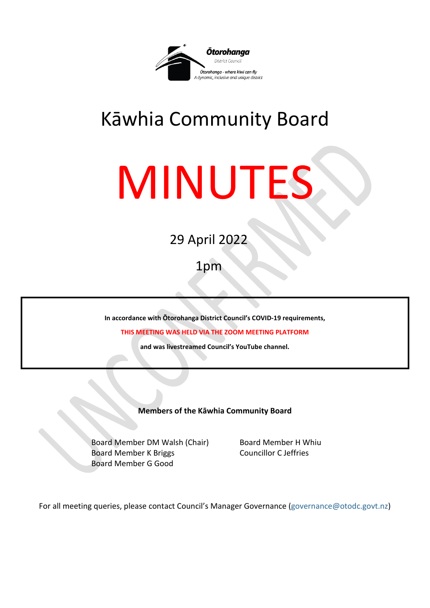

# Kāwhia Community Board

# MINUTES

## 29 April 2022

## 1pm

**In accordance with Ōtorohanga District Council's COVID-19 requirements,** 

**THIS MEETING WAS HELD VIA THE ZOOM MEETING PLATFORM**

**and was livestreamed Council's YouTube channel.** 

**Members of the Kāwhia Community Board**

Board Member DM Walsh (Chair) Board Member H Whiu Board Member K Briggs Councillor C Jeffries Board Member G Good

For all meeting queries, please contact Council's Manager Governance [\(governance@otodc.govt.nz\)](mailto:governance@otodc.govt.nz)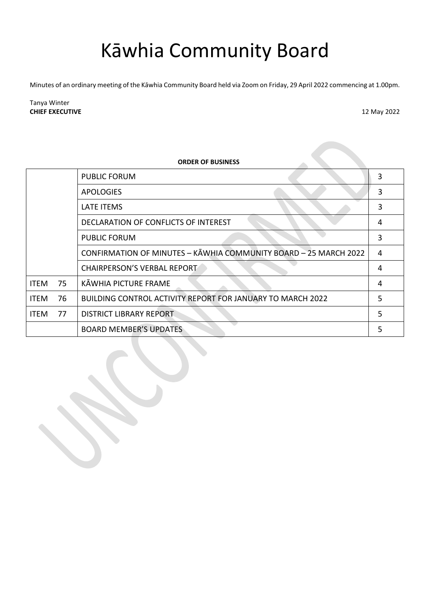## Kāwhia Community Board

Minutes of an ordinary meeting of the Kāwhia Community Board held via Zoom on Friday, 29 April 2022 commencing at 1.00pm.

Tanya Winter **CHIEF EXECUTIVE** 12 May 2022

| <b>ORDER OF BUSINESS</b> |    |                                                                  |   |
|--------------------------|----|------------------------------------------------------------------|---|
|                          |    | <b>PUBLIC FORUM</b>                                              | 3 |
|                          |    | <b>APOLOGIES</b>                                                 | 3 |
|                          |    | <b>LATE ITEMS</b>                                                | 3 |
|                          |    | DECLARATION OF CONFLICTS OF INTEREST                             | 4 |
|                          |    | <b>PUBLIC FORUM</b>                                              | 3 |
|                          |    | CONFIRMATION OF MINUTES - KAWHIA COMMUNITY BOARD - 25 MARCH 2022 | 4 |
|                          |    | <b>CHAIRPERSON'S VERBAL REPORT</b>                               | 4 |
| <b>ITEM</b>              | 75 | KĀWHIA PICTURE FRAME                                             | 4 |
| <b>ITEM</b>              | 76 | BUILDING CONTROL ACTIVITY REPORT FOR JANUARY TO MARCH 2022       | 5 |
| <b>ITEM</b>              | 77 | <b>DISTRICT LIBRARY REPORT</b>                                   | 5 |
|                          |    | <b>BOARD MEMBER'S UPDATES</b>                                    |   |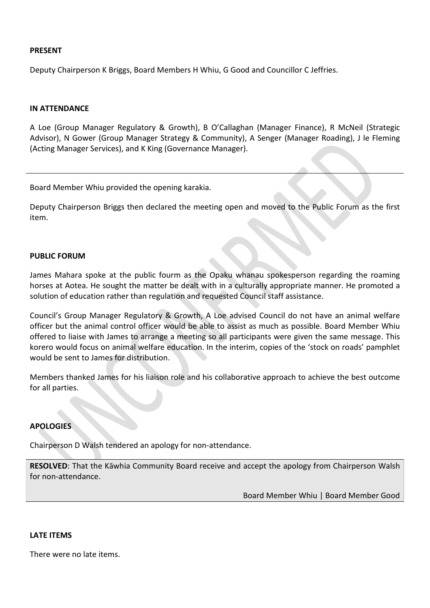#### **PRESENT**

Deputy Chairperson K Briggs, Board Members H Whiu, G Good and Councillor C Jeffries.

#### **IN ATTENDANCE**

A Loe (Group Manager Regulatory & Growth), B O'Callaghan (Manager Finance), R McNeil (Strategic Advisor), N Gower (Group Manager Strategy & Community), A Senger (Manager Roading), J le Fleming (Acting Manager Services), and K King (Governance Manager).

Board Member Whiu provided the opening karakia.

Deputy Chairperson Briggs then declared the meeting open and moved to the Public Forum as the first item.

#### <span id="page-2-0"></span>**PUBLIC FORUM**

James Mahara spoke at the public fourm as the Opaku whanau spokesperson regarding the roaming horses at Aotea. He sought the matter be dealt with in a culturally appropriate manner. He promoted a solution of education rather than regulation and requested Council staff assistance.

Council's Group Manager Regulatory & Growth, A Loe advised Council do not have an animal welfare officer but the animal control officer would be able to assist as much as possible. Board Member Whiu offered to liaise with James to arrange a meeting so all participants were given the same message. This korero would focus on animal welfare education. In the interim, copies of the 'stock on roads' pamphlet would be sent to James for distribution.

Members thanked James for his liaison role and his collaborative approach to achieve the best outcome for all parties.

#### <span id="page-2-1"></span>**APOLOGIES**

Chairperson D Walsh tendered an apology for non-attendance.

**RESOLVED**: That the Kāwhia Community Board receive and accept the apology from Chairperson Walsh for non-attendance.

Board Member Whiu | Board Member Good

#### <span id="page-2-2"></span>**LATE ITEMS**

There were no late items.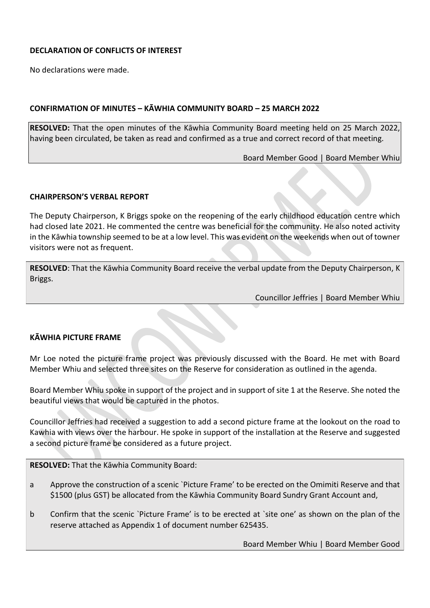#### <span id="page-3-0"></span>**DECLARATION OF CONFLICTS OF INTEREST**

No declarations were made.

#### <span id="page-3-1"></span>**CONFIRMATION OF MINUTES – KĀWHIA COMMUNITY BOARD – 25 MARCH 2022**

**RESOLVED:** That the open minutes of the Kāwhia Community Board meeting held on 25 March 2022, having been circulated, be taken as read and confirmed as a true and correct record of that meeting.

Board Member Good | Board Member Whiu

#### <span id="page-3-2"></span>**CHAIRPERSON'S VERBAL REPORT**

The Deputy Chairperson, K Briggs spoke on the reopening of the early childhood education centre which had closed late 2021. He commented the centre was beneficial for the community. He also noted activity in the Kāwhia township seemed to be at a low level. This was evident on the weekends when out of towner visitors were not as frequent.

**RESOLVED**: That the Kāwhia Community Board receive the verbal update from the Deputy Chairperson, K Briggs.

Councillor Jeffries | Board Member Whiu

#### <span id="page-3-3"></span>**KĀWHIA PICTURE FRAME**

Mr Loe noted the picture frame project was previously discussed with the Board. He met with Board Member Whiu and selected three sites on the Reserve for consideration as outlined in the agenda.

Board Member Whiu spoke in support of the project and in support of site 1 at the Reserve. She noted the beautiful views that would be captured in the photos.

Councillor Jeffries had received a suggestion to add a second picture frame at the lookout on the road to Kawhia with views over the harbour. He spoke in support of the installation at the Reserve and suggested a second picture frame be considered as a future project.

**RESOLVED:** That the Kāwhia Community Board:

- a Approve the construction of a scenic `Picture Frame' to be erected on the Omimiti Reserve and that \$1500 (plus GST) be allocated from the Kāwhia Community Board Sundry Grant Account and,
- b Confirm that the scenic `Picture Frame' is to be erected at `site one' as shown on the plan of the reserve attached as Appendix 1 of document number 625435.

Board Member Whiu | Board Member Good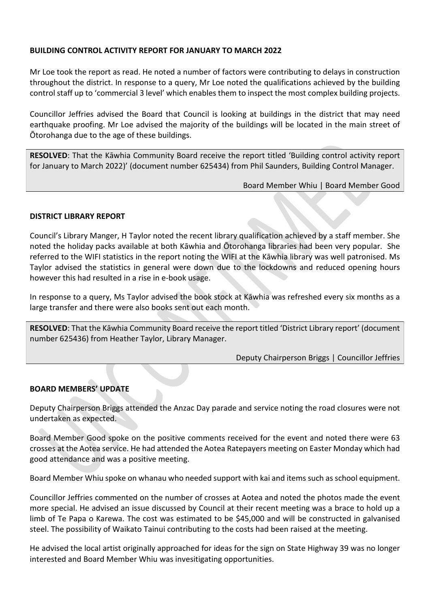#### <span id="page-4-0"></span>**BUILDING CONTROL ACTIVITY REPORT FOR JANUARY TO MARCH 2022**

Mr Loe took the report as read. He noted a number of factors were contributing to delays in construction throughout the district. In response to a query, Mr Loe noted the qualifications achieved by the building control staff up to 'commercial 3 level' which enables them to inspect the most complex building projects.

Councillor Jeffries advised the Board that Council is looking at buildings in the district that may need earthquake proofing. Mr Loe advised the majority of the buildings will be located in the main street of Ōtorohanga due to the age of these buildings.

**RESOLVED**: That the Kāwhia Community Board receive the report titled 'Building control activity report for January to March 2022)' (document number 625434) from Phil Saunders, Building Control Manager.

Board Member Whiu | Board Member Good

#### <span id="page-4-1"></span>**DISTRICT LIBRARY REPORT**

Council's Library Manger, H Taylor noted the recent library qualification achieved by a staff member. She noted the holiday packs available at both Kāwhia and Ōtorohanga libraries had been very popular. She referred to the WIFI statistics in the report noting the WIFI at the Kāwhia library was well patronised. Ms Taylor advised the statistics in general were down due to the lockdowns and reduced opening hours however this had resulted in a rise in e-book usage.

In response to a query, Ms Taylor advised the book stock at Kāwhia was refreshed every six months as a large transfer and there were also books sent out each month.

**RESOLVED**: That the Kāwhia Community Board receive the report titled 'District Library report' (document number 625436) from Heather Taylor, Library Manager.

Deputy Chairperson Briggs | Councillor Jeffries

#### <span id="page-4-2"></span>**BOARD MEMBERS' UPDATE**

Deputy Chairperson Briggs attended the Anzac Day parade and service noting the road closures were not undertaken as expected.

Board Member Good spoke on the positive comments received for the event and noted there were 63 crosses at the Aotea service. He had attended the Aotea Ratepayers meeting on Easter Monday which had good attendance and was a positive meeting.

Board Member Whiu spoke on whanau who needed support with kai and items such as school equipment.

Councillor Jeffries commented on the number of crosses at Aotea and noted the photos made the event more special. He advised an issue discussed by Council at their recent meeting was a brace to hold up a limb of Te Papa o Karewa. The cost was estimated to be \$45,000 and will be constructed in galvanised steel. The possibility of Waikato Tainui contributing to the costs had been raised at the meeting.

He advised the local artist originally approached for ideas for the sign on State Highway 39 was no longer interested and Board Member Whiu was invesitigating opportunities.